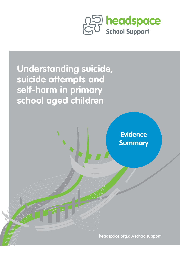



**headspace.org.au/schoolsupport**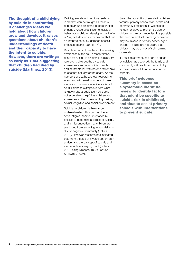The thought of a child dying by suicide is confronting. It challenges ideals we hold about how children grow and develop. It raises questions about children's understandings of death and their capacity to have the intent to suicide. However, there are writings as early as 1904 suggesting that children had died by suicide (Martinez, 2013).

Defining suicide or intentional self-harm in children can be fraught as there is debate around children's understandings of death. A useful definition of suicidal behaviour in children developed by Pfeffer is "any self-destructive behaviour that has an intent to seriously damage oneself or cause death (1986, p. 14)".

Despite reports of deaths and increasing awareness of the risk in recent times, death by suicide in children is a relatively rare event. Like deaths by suicide in adolescents and adults, it is complex and multifactorial, with no one factor able to account entirely for the death. As the numbers of deaths are low, research is scant and with small numbers of case studies to drawn upon, evidence is not solid. Efforts to extrapolate from what is known about adolescent suicide is not accurate or helpful as children and adolescents differ in relation to physical, sexual, cognitive and social development.

Suicide by children is likely to be underestimated. This can be due to social stigma, shame, reluctance by officials to determine a verdict of suicide, and a misconception that children are precluded from engaging in suicidal acts due to cognitive immaturity (Kolves, 2010). However, research has indicated that, from the age of 8 years on, children understand the concept of suicide and are capable of carrying it out (Kolves, 2010, citing Mishara, 1998; Fortune & Hawton, 2007).

Given the possibility of suicide in children, families, primary school staff, health and community professionals will be keen to look for ways to prevent suicide by children in their communities. It is possible that suicidal and self-harming behaviour may be missed in primary school aged children if adults are not aware that children may be at risk of self-harming or suicide.

If a suicide attempt, self-harm or death by suicide has occurred, the family and community will need information to try to make sense of it and reduce further impacts.

This brief evidence summary is based on a systematic literature review to identify factors that might be specific to suicide risk in childhood, and thus to assist primary schools with interventions to prevent suicide.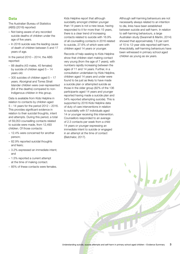### Data

The Australian Bureau of Statistics (ABS) (2016) reported:

- Not being aware of any recorded suicide deaths of children under the age of five years.
- In 2016 suicide was the leading cause of death of children between 5 and 17 years of age.

In the period  $2010 - 2014$ , the ABS reported:

- 88 deaths (43 males, 45 females) by suicide of children aged 5 – 14 years old.
- 305 suicides of children aged 5 17 years. Aboriginal and Torres Strait Islander children were over-represented (84 of the deaths) compared to non-Indigenous children in this group.

Data is available from Kids Helpline in relation to contacts by children aged 5 – 14 years for the period 2012 – 2016. This provides significant evidence in relation to their suicidal thoughts, intent and attempts. During this period, a total of 59,053 counselling contacts related to suicide were made, from 12,493 children. Of those contacts:

- 12.4% were concerned for another person;
- 82.9% reported suicidal thoughts and fears;
- 3.2% expressed an immediate intent; and
- 1.5% reported a current attempt at the time of making contact.
- 85% of these contacts were females.

Kids Helpline report that although suicidality amongst children younger than 14 years is not a new issue, having responded to it for more than 15 years, there is a clear trend of increasing contacts related to suicide with 16.9% of all counselling contacts in 2016 related to suicide, 27.6% of which were with children aged 14 years or younger.

Records of help-seeking to Kids Helpline show that children start making contact very young (from the age of 7 years), with numbers rapidly increasing between the ages of 11 and 14 years. Further, in a consultation undertaken by Kids Helpline, children aged 14 years and under were found to be just as likely to have made a suicide plan or attempted suicide as those in the older group (82% of the 136 participants aged 14 years and younger reported having made a suicide plan and 54% reported attempting suicide). This is supported by 2016 Kids Helpline data of duty of care interventions in relation to suicidality with 57 individuals aged 14 or younger receiving this intervention. Counsellors responded to an average of 2.3 contacts per week from a child 14 years or younger expressing an immediate intent to suicide or engaged in an attempt at the time of contact (Batchelor, 2017).

Although self-harming behaviours are not necessarily always related to an intention to die, links have been established between suicide and self-harm. In relation to self-harming behaviours, a large Australian study (Swannell & Martin, 2014) showed that approximately 7.6 per cent of 10 to 12-year olds reported self-harm. Anecdotally, self-harming behaviours have been witnessed in primary school aged children as young as six years.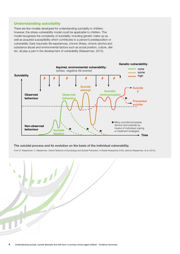## Understanding suicidality

There are few models developed for understanding suicidality in children, however, the stress-vulnerability model could be applicable to children. This model recognises the complexity of suicidality, including genetic make-up as well as acquired susceptibility which contributes to a person's predisposition or vulnerability. Early traumatic life experiences, chronic illness, chronic alcohol and substance abuse and environmental factors such as social position, culture, diet etc. all play a part in the development of vulnerability (Wasserman, 2012).



#### **The suicidal process and its evolution on the basis of the individual vulnerability.**

From D. Wasserman, C. Wasserman. Oxford Textbook of Suicidology and Suicide Prevention: A Global Perspective [155] .cited by Wasserman, et al. (2012).

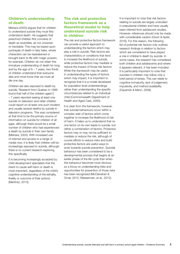# Children's understanding of death

Mishara (2003) argues that for children to understand suicide they must first understand death. He suggests that preschool children first conceive of death as reversible, as not universal or inevitable. This may be based upon portrayals of death in fairy tales, where characters can be reawakened or brought back to life with magic powers, for example. Children do not retain this immature understanding of death for long and by the age of  $6 - 7$  years, two thirds of children understand that everyone dies and most know that we must all die one day.

Children are also exposed to death by suicide. Research from Quebec in 1999 found that half of the children aged 5 – 7 years reported seeing at least one suicide on television and older children could report on at least one such incident and usually several deaths by suicide in television programs. This was considered at that time to be the primary source of information on suicide for children of all ages, although there would be a small number of children who had experienced a death by suicide in their own family (Mishara, 2003). With increased use of internet and access to a range of media now, it is likely that children will be increasingly exposed to suicide, although there is no current research exploring this specifically.

It is becoming increasingly accepted by child development specialists that the intent to cause self-harm or death is most important, regardless of the child's cognitive understanding of the lethality, finality or outcome of their actions (Martinez, 2013).

# The risk and protective factors framework as a theoretical model to help understand suicide risk in children

The risk and protective factors framework can provide a useful approach to understanding the factors which may play a role in suicide. Risk factors are characteristics or conditions that tend to increase the likelihood of suicide, while protective factors may mediate or reduce the impact of those risk factors. While this framework may be useful in understanding the types of factors which may impact, it is important to recognize that it is a model developed for population level understandings rather than understanding the specific circumstances related to an individual child (Commonwealth Department of Health and Aged Care, 2000).

It is clear from the framework, however, that suicidal behaviours occur within a complex web of factors which come together to increase the likelihood of risk of harm. It helps us to understand that no one factor on its own leads to suicide, but rather a combination of factors. Protective factors may or may not be sufficient to mediate or reduce the risk, although of course efforts to reduce risks and build protective factors are useful ways to work towards suicide prevention. Suicidal behaviour has been considered to be a developmental process that begins at an earlier phase of the life cycle than when this behaviour becomes most obvious, so a focus on understanding risks and opportunities for prevention of those risks has been recognized (McClanahan & Omar, 2012; Wasserman, et al., 2012).

It is important to note that risk factors relating to suicide are largely unstudied in prepubertal children and have usually been inferred from adolescent studies. However, inferences should only be made with considerable caution (Gvion & Apter, 2016). For this reason, the following list of potential risk factors only outlines research findings in relation to factors which are considered to have played a role in children's death by suicide. In some cases, the research has considered both children and adolescents and where it appears relevant, it has been included. It is particularly important to note that suicides in children may follow only a brief period of stress. This can relate to cognitive immaturity, lack of judgement, impulsivity, and method availability (Oquendo & Mann, 2008).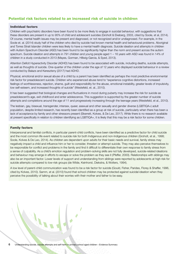# Potential risk factors related to an increased risk of suicide in children

### Individual factors

Children with psychiatric disorders have been found to be more likely to engage in suicidal behaviour, with suggestions that these disorders are present in up to 95% of child and adolescent suicides (Groholt & Ekeberg, 2003, cited by Soole, et al, 2014). Of course, mental health issues may be present and diagnosed, or not recognized and/or undiagnosed. For example, in the Soole et. al. (2014) study half of the children who died by suicide had known mental health and behavioural problems. Aboriginal and Torres Strait Islander children were less likely to have a mental health diagnosis. Suicide ideation and attempts in children with Autism Spectrum Disorder (ASD) has been found to be significantly higher than the norm and present across the autism spectrum. Suicide ideation and attempts in 791 children and young people aged 1 – 16 years with ASD was found in 14% of children in a study conducted in 2013 (Mayes, Gorman, Hillwig-Garcia, & Syed, 2013).

Attention Deficit Hyperactivity Disorder (ADHD) has been found to be associated with suicide, including deaths, suicide attempts, as well as thoughts of suicide. One-quarter of the children under the age of 12 years who displayed suicidal behaviour in a review conducted by Balazs and Kereszteny (2017) had ADHD.

Physical, emotional and/or sexual abuse of a child by a parent has been identified as perhaps the most predictive environmental risk factor for preadolescent suicide. Children who experienced abuse tend to "experience cognitive distortions, increased feelings of worthlessness, rejection, shame, guilt and responsibility for the abuse, emotional instability, greater levels of impulsivity, low self-esteem, and increased thoughts of suicide" (Westefeld, et. al., 2010).

It has been suggested that biological changes and fluctuations in mood during puberty may increase the risk for suicide as preadolescent's age, exit childhood and enter adolescence. This suggestion is supported by the greater number of suicide attempts and completions around the age of 11 and progressively increasing through the teenage years (Westefeld, et al., 2010).

The lesbian, gay, bisexual, transgender, intersex, queer, asexual and other sexually and gender diverse (LGBTIQA+) adult population, despite limited research, has recently been identified as a group at risk of suicide, particularly when there has been a lack of acceptance by family and other stressors present (Skerrett, Kolves, & De Leo, 2017). While there is no research available at present specifically in relation to children identifying as LGBTIQA+, it is likely that this may be a risk factor for some children.

#### Family factors

Interpersonal and familial conflicts, in particular parent-child conflicts, have been identified as a predictive factor for child suicide and the most common life event related to suicide risk for both Indigenous and non-Indigenous children (Groholt, et al., 1998; Soole, Kolves & De Leo, 2014). As children are dependent upon adults for their basic needs and survival, family stress may negatively impact a child and influence him or her to consider, threaten or attempt suicide. They may also perceive themselves to be responsible for conflict and problems in the family and find it difficult to differentiate their own response to family stress from a sense of culpability. As a child's emotion regulation and problem-solving skills are not fully developed, suicide-related ideations and behaviour may emerge in efforts to escape or solve the problem as they see it (Pfeffer, 2000). Relationships with siblings may also be an important factor. Lower levels of support and understanding from siblings were reported by adolescents at high risk for suicide attempts compared to low-risk groups (de Wilde, Keinhorst, Diekstra, & Wolters, 1994).

A low level of parent-child communication was found to be a risk factor for suicide (Gould, Fisher, Parides, Florey & Shaffer, 1996, cited by Kolves, 2010). Samm, et al. (2010) found that school children may be protected against suicidal ideation when they perceive the possibility of talking about their worries with their mother and father to be easy.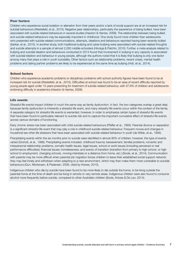#### Peer factors

Children who experience social isolation or alienation from their peers and/or a lack of social support are at an increased risk for suicidal behaviours (Westefeld, et al., 2010). Negative peer relationships, particularly the experience of being bullied, have been associated with suicide-related behaviours in several studies (Hawton & Harriss, 2008). The relationship between being bullied and suicide-related behaviours may be especially important in childhood. One study found more children than adolescents who presented with suicide-related communications, attempts, ideations and behaviours reported having been recently bullied (Sarkar, et al., 2010). In another study, both traditional bullying and cyber-bullying were associated with suicide-related thoughts and suicide attempts in a sample of almost 2,000 middle-schoolers (Hinduja & Patchin, 2010). Further, a meta-analysis related to bullying and suicidal ideation and behaviours conducted in 2014 found that involvement in bullying in any capacity is associated with suicidal ideation and behaviour in young people, although the authors noted that it is likely that bullying is only one factor among many that plays a role in youth suicidality. Other factors such as relationship problems, recent crises, mental health problems and dating partner problems are likely to be experienced at the same time as bullying (Holt, et al., 2014).

#### School factors

Children who experience academic problems or disciplinary problems with school authority figures have been found to be at increased risk for suicide (Westefeld, et al., 2010). Difficulties at school was found to be an area of recent difficulty reported by young people aged under 15 years presenting for treatment of suicide-related behaviour, with 37.9% of children and adolescents endorsing difficulty in academics (Hawton & Harriss, 2008).

#### Life events

Stressful life events impact children in much the same way as family dysfunction. In fact, the two categories overlap a great deal, because family dysfunction is inherently a stressful life event, and many stressful life events occur within the context of the family. A separate category for stressful life events is warranted, however, in order to emphasize certain types of stressful life events that have been found to particularly relevant to suicide risk and to capture the important cumulative effect of stressful life events across various domains of functioning.

Early chronic stress has been associated with child suicide-related behaviours (Pfeffer et al., 1993). Parental divorce or separation is a significant stressful life event that may play a role in childhood suicide-related behaviour. Frequent moves and changes in household are other life stressors that have been associated with suicide-related behaviour in youth (de Wilde, et al., 1994).

Precipitating events within the six months prior to suicide were identified in almost 80% of children; however, the type of events varied (Groholt, et al., 1998). Precipitating events included: childhood trauma; bereavement, familial problems, romantic and interpersonal relationship problems, somatic health issues, legal issues, school or work issues (including perceived or real performance difficulties); financial issues; homelessness; and events of transition (transition from primary to high school, or high school to employment, changing schools, moving interstate or a distance from home, etc.) (Soole, et al., 2014). Communication with parents may be more difficult when parental job migration forces children to leave their established social support network; they may feel lonely and withdrawn when adapting to a new environment, which may then make them more vulnerable to suicidal behaviours (Qun, Mortensen, & Pedersen, 2009, cited by Kolves, 2010).

Indigenous children who die by suicide have been found to be more likely to die outside the home, to be living outside the parental home at the time of death and be living in remote or very remote areas. Indigenous children were also found to consume alcohol more frequently before suicide, compared to other Australian children (Soole, Kolves & De Leo, 2014).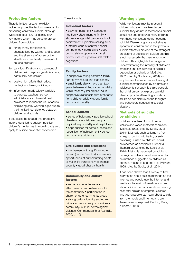## Protective factors

There is limited research explicitly looking at protective factors in relation to preventing children's suicide, although Westefeld, et al. (2010) identify four key factors which may serve to protect children from suicide:

- (a) strong family relationships characterized by warmth and support and the absence of abuse or the identification and early treatment of abused children;
- (b) early identification and treatment of children with psychological disorders, particularly depression;
- (c) postvention efforts that reduce contagion following suicide; and
- (d) information made widely available to parents, teachers, school administrators and mental health providers to reduce the risk of adults dismissing early warning signs due to the intuitive inconsistency between children and suicide.

It could also be argued that protective factors identified to support positive children's mental health more broadly also apply to suicide prevention for children.

These include:

#### Individual factors

• easy temperament • adequate nutrition • attachment to family • above-average intelligence • school achievement • problem solving skills • internal locus of control • social competence • social skills • good coping style • optimism • moral beliefs • values • positive self-related cognitions

#### Family factors

• supportive caring parents • family harmony • secure and stable family • small family size • more than two years between siblings • responsibility within the family (for child or adult) • supportive relationship with other adult (for a child or adult) • strong family norms and morality

#### School context

• sense of belonging • positive school climate • prosocial peer group • required responsibility and helpfulness • opportunities for some success and recognition of achievement • school norms against violence

#### Life events and situations

• involvement with significant other person (partner/ment or) • availability of opportunities at critical turning points or major life transitions • economic security • good physical health

#### Community and cultural factors

• sense of connectedness • attachment to and networks within the community • participation in church or other community group • strong cultural identity and ethnic pride • access to support services • community/ cultural norms against violence (Commonwealth of Australia, 2000, p. 15).

## Warning signs

While risk factors may be present in children who are more likely to be suicidal, they do not in themselves predict actual risk and of course many children with those risk factors do not become suicidal. Warning signs are not always apparent in children and in fact previous suicide attempts are one of the strongest predictors of adolescent suicide but this is not necessarily the case in younger children. This highlights the danger of underestimating the intensity of children's emotions and seriousness of suicidal expression or behaviour (McGuire, 1982, cited by Soole et al, 2014) and emphasises the importance of taking all suicidal communication by children and adolescents seriously. It is also possible that children do not express suicidal ideation prior to attempting suicide or adults do not pick up on the thoughts and behaviours suggesting suicidal ideation.

### Methods of suicide by children

Children have been found to report realistic and varied methods of suicide (Mishara, 1998, cited by Soole, et. al., 2014). Methods such as jumping from a height, running into traffic, or selfpoisoning, if used by children, could be recorded as accidents (Groholt & Ekeberg, 2003, cited by Soole et al, 2014). Methods perceived by adults to be tragic accidents have been found to be methods suggested by children as potential means to end one's life (Mishara, 1998, cited by Soole, et al., 2014).

It has been shown that it is easy to find information about suicide methods on the internet and people use the internet and media as the main information sources about suicide methods, as shown among near-fatal suicide attempters. Children and young people can learn about suicide from the media and internet and are therefore most exposed (Dunlop, More, & Romer, 2011).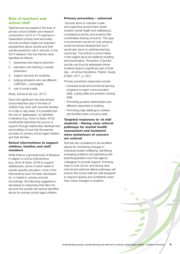# Role of teachers and school staff

Teachers are key people in the lives of primary school children and research conducted in 2014 of 115 teachers in Queensland primary and secondary schools provides insight into teachers' perspectives about suicide and their suicide prevention role in schools. In the 2014 research, five key themes were identified as follows:

- 1. awareness and stigma reduction;
- 2. education and training in suicide prevention;
- 3. support services for students;
- 4. bullying (students who are different: LGBTIQA+, overweight);
- 5. role of social media

(Ross, Kolves & De Leo, 2017)

Given the significant role that primary school teachers play in the lives of children they work with and their families on a day to day basis, it is possible that the role of "gatekeeper" as identified in literature (e.g. Gvion & Apter, 2016) insufficiently describes the source of support through relationship development and building of trust that the teacher provides for primary school aged children and their families.

### School interventions to support children, families and staff members

While there is a growing body of literature in relation to school interventions (e.g. Gvion & Apter, 2016) to support adolescents, some of which relate to suicide-specific education, most of the interventions have not been developed for, or trialed in, primary schools. Accordingly, the following suggestions are based on responses that take into account the suicide risk factors identified above for primary school aged children.

#### Primary prevention – universal

 Schools strive to maintain a safe and supportive environment where student mental health and wellbeing is considered a priority and students feel comfortable sharing concerns. This type of environment would not only enhance social-emotional development but it would also serve to optimise learning outcomes. The actions a school takes in this regard serve as resilience building and preventative. Prevention of [youth] suicide can thus be addressed where students spend a significant part of their day – at school (Gostelow, Poland, Guedj, & Seth, 2017, p. 291).

Primary prevention responses include:

- Universal social and emotional learning programs to teach communication skills, coping skills and problem-solving skills
- Promoting positive relationships and effective responses to bullying
- Promoting help-seeking by children and families when concerns arise

### Targeted responses to 'at risk' students - Having clear referral pathways for mental health assessment and treatment when behaviours of concern are noticed

Schools are considered to be excellent places for monitoring changes in individual student wellbeing, identifying emerging problems and partnering with parents/guardians and inter-agency colleagues to provide support. Knowing what to look out for, and having clear internal and external referral pathways will ensure that school staff are well-equipped to respond quickly and confidently when they notice changes in students.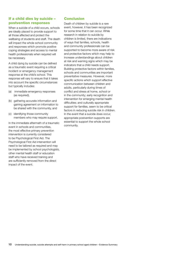# If a child dies by suicide – postvention responses

When a suicide of a child occurs, schools are ideally placed to provide support to all those affected and protect the wellbeing of students and staff. The death will impact the whole school community and responses which promote positive coping strategies and access to mental health professionals when required will be necessary.

A child dying by suicide can be defined as a traumatic event requiring a critical incident or emergency management response at the child's school. This response will vary to ensure that it takes into account the specific circumstances but typically includes:

- (a) immediate emergency responses (as required),
- (b) gathering accurate information and gaining agreement on information to be shared with the community, and
- (c) identifying those community members who may require support.

In the immediate aftermath of a traumatic event in schools and communities, the most effective primary prevention intervention is currently considered to be Psychological First Aid. The Psychological First Aid intervention will need to be tailored as required and may be implemented by school psychologists, other mental health staff or education staff who have received training and are sufficiently removed from the direct impact of the event.

# Conclusion

Death of children by suicide is a rare event, however, it has been recognized for some time that it can occur. While research in relation to suicide by children is limited, there are indications of ways that families, schools, health and community professionals can be supported to become more aware of risk and protective factors which may help to increase understandings about children at risk and warning signs which may be indicators that a child needs support. Building protective factors within families, schools and communities are important preventative measures. However, more specific actions which support effective communication between children and adults, particularly during times of conflict and stress at home, school or in the community; early recognition and intervention for emerging mental health difficulties; and culturally appropriate support for families, seem to be critical factors in reducing suicide risk in children. In the event that a suicide does occur, appropriate postvention supports are essential to support the whole school community.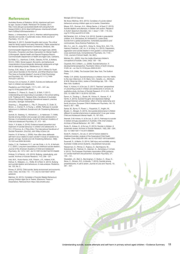### References

Australian Bureau of Statistics. (2016). *Intentional self-harm by age. Causes of death.* Retrieved17th October, 2017: http://www.abs.gov.au/ausstats/abs@.nsf/Lookup/by%20 Subject/3303.0~2016~Main%20Features~Intentional%20selfharm:%20key%20characteristics~7

Balazs, J. & Kereszteny, A. (2017). Attention-deficit/hyperactivity disorder and suicide: A systematic review. *World Journal of Psychiatry*, 7(1): 44 – 59.

Batchelor, S. (2017). *Suicidal thoughts start young: The critical need for family support and early intervention.* Paper presented at the National Suicide Prevention Conference, Brisbane, Qld.

Commonwealth Department of Health and Aged Care. (2000). *Promotion, Prevention and Early Intervention for Mental Health— A Monograph*. Mental Health and Special Programs Branch, Commonwealth Department of Health and Aged Care, Canberra.

De Wilde, E.J., Keinhorst, C.W.M., Diekstra, R.F.W., & Wolters, W.H.G. (1994). Social support, life events, and behavioural characteristics of psychologically distressed adolescents at high risk for attempting suicide. *Adolescence*, 29, 49-60.

Dunlop, S.M., More, E. and Romer, D. (2011) Where Do Youth Learn about Suicides on the Internet, and What Influence Does This Have on Suicidal Ideation? *Journal of Child Psychology and Psychiatry*, 52, 1073-1080. doi.org/10.1111/j.1469- 7610.2011.02416.x.

Fortune, S.A. & Hawton, K. (2007). Suicide and deliberate selfharm in children and adolescents.

*Paediatrics and Child Health*, 17(11), 443 – 447. doi. org/10.1016/j.paed.2007.09.001.

Gostelow, C., Poland, S., Guedj, S., & Seth, Y. (2017). Understanding and responding to suicidality in the school setting. In M. Thielking & M.D. Terjesen (Eds.) *Handbook of Australian School Psychology Integrating international research, practice, and policy*. Springer: Switzerland.

Greening, L., Stoppelbein, L., Fite, P., Dhossche, D., Erath, S., Brown, J., Cramer, R., & Young, L. (2008). Pathways to suicidal behaviours in childhood. *Suicide and Life-Threatening Behaviour*, 38(1).

Groholt, B., Ekeberg, O., Wichstrom, L., & Haldorsen, T. (1998). Suicide among children and younger and older adolescents in Norway: A comparative study. *Journal of American Academy of Child and Adolescent Psychiatry*, 37, 473 – 481.

Gvion, Y. & Apter, A. (2016). Evidence-based prevention and treatment of suicidal behaviour in children and adolescents. In R.C. O'Connnor, & J. Pirkis (Eds.) *The International Handbook of Suicide Prevention*, (2nd Ed), John Wiley & Sons Ltd.

Hawton, K. & Harriss, L. (2008). How often does deliberate self-harm occur relative to each suicide? A study of variations by gender and age. *Suicide and Life-threatening Behaviour*, 38(6). 10.1521/suli.2008.38.6.650.

Herba, C. M., Ferdinand, R. F., van der Ende, J. A. N., & Verhulst, F. C. (2007). Long-term associations of childhood suicide ideation. *Journal of the American Academy of Child and Adolescent Psychiatry*, 46, 1473–1481. doi:10.1097/chi.0b013e318149e66f.

Hinduja, S. & Patchin, J.W. (2010). Bullying, cyberbullying, and suicide. *Archives of Suicide Research*, 14:3, 206 – 221.

Holt, M.K., Vivolo-Kantor, A.M., Polanin, J.R., Holland, K.M., DeGue, S., Matjasko, J.L., Wolfe, M. & Reid, G. (2014). Bullying and suicidal ideation and behaviours: A meta-analysis. *Pediatrics*, Vol. 135, No. 2.

Kolves, K. (2010). Child suicide, family environment and economic crisis. *Crisis*, Vol 31(3): 115 – 117. Doi:10.1027/0227-5910/ a000040.

Martinez, M. (2013). *Correlates of Suicide-Related Behaviours among Children Ages Six to Twelve*. (Electronic Thesis or Dissertation). Retrieved from https://etd.ohiolink.edu/.

Maniglio (2010) Case law

My library Martinez, M.S. (2013). *Correlates of suicide-related behaviours among children ages six to twelve*. Dissertation.

Mayes, S.D., Gorman, A.A., Hillwig-Garcia, J. & Syed, E. (2013). Suicide ideation and attempts in children with autism. *Research in Autism Spectrum Disorders*, Vol. 7, Issue 1: 109 – 119. Doi. org/10.1016/j.rasd.2012.07.009.

McClanahan, K.K., & Omar, H.A. (2012). Suicide in prepubertal children. In A. Shrivastava, M. Kimbrell & D. Lester (Eds). *Suicide from a global perspective. Vulnerable populations and controversies*. Nova Science Publishers, Inc.

Min, H.J., Jon, D., Jung, M.H., Hong, N., Song, M.A., Kim, Y.S., Harkavy-Friedman, J.M., Im, H, & Hong, H.J. (2012). Depression, aggression and suicidal ideation in first graders: a school-based cross-sectional study. *Comprehensive Psychiatry*, 53, 1145 – 1152. *Journal of School Health*, Vol. 86(1).

Mishara, B.L. (2003). How the media influences children's conceptions of suicide. *Crisis*, 24(3): 128 – 130.

Oquendo, M.A. & Mann, J.J. (2008). Suicidal behaviour: A developmental perspective. *Psychiatric Clinics of North America*, 31(20: xiii – xvi. Doi:10.1016/j.psc.2008.03.001.

Pfeffer, C.R. (1986). *The Suicidal Child*. New York: The Guilford Press.

Pfeffer, C.R. (2000). Suicidal behaviour in children: from the 1980's to the new millennium. In W. Maris, S.S., Canetto, J.L., McIntosh, & M.M. Silverman (Eds.), *review of Suicidology* (pp. 159 – 169). New York: Guildford.

Ross, V., Kolves, K. & De Leo, D. (2017). Teachers' perspectives on preventing suicide in children and adolescents in schools: A qualitative study. *Archives of Suicide Research*, 21:3, 519 – 530, DOI: 10.1080/13811118.2016.1227005.

Samm, A., Tooding, L., Sisask, M., Kolves, K., Aasvee, K., & Varnik, A. (2010). Suicidal thoughts and depressive feelings amongst Estonian schoolchildren: effect of family relationship and family structure. *European Child & Adolescent Psychiatry*, Vol. 19, Issue 5, 457 – 468.

Sarkar, M., Byrne, P., Power, L., Fitzpatrick, C., Anglim, M., Boylan, C., Morgan, S. (2010). Are suicidal phenomena in children different to suicidal phenomena in adolescents? A six-year review. *Child and Adolescent Mental Health*, 15, 197–203.

Skerrett, D.M. Kolves, K. & De Leo, D. (2017). Pathways to suicide in lesbian and gay populations in Australia: A life chart analysis. *Archives of Sexual Behaviour*, 46: 1481 – 1489.

Soole, R., Kolves, K., & De Leo, D. (2014). Suicide in children: A systematic review. *Archives of Suicide Research*, 19(3), 285 – 304. Doi: 10.1080/13811118.2014.996694.

Soole R., Kolves K., De Leo, D. (2014) Factors related to childhood suicides: analysis of the Queensland Child Death Register. *Crisis* 35(5):292–300. doi:10.1027/0227-5910/a000267.

Swannell, S., & Martin, G. (2014). Self-injury and suicidality among Australian middle school students. Unpublished manuscript.

Wasserman, D., Rihmer, Z., Rujescu, D., Sarchiapone, M., Sokolowski, M., Titelman, D., Zalsman, G., Zemishlany, Z. & Carli, V. (2012). The European Psychiatric Association (EPA) guidance on suicide treatment and prevention. *European Psychiatry*, 27, 129 – 141.

Westefeld, J.S., Bell, A., Bermingham, C. Button, C., Shaw, K., Skow, C., Stinson, R.D., & Woods, T. (2010). Suicide among preadolescents: A call to action. *Journal of Loss and Trauma*, 15:  $381 - 407$